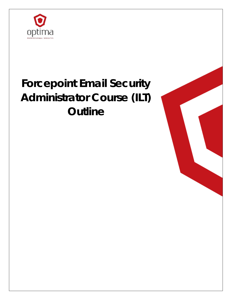

# **Forcepoint Email Security Administrator Course (ILT) Outline**

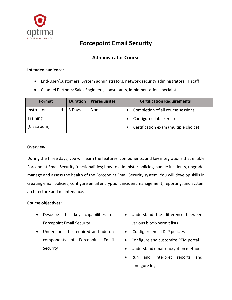

## **Forcepoint Email Security**

### **Administrator Course**

#### **Intended audience:**

- End-User/Customers: System administrators, network security administrators, IT staff
- Channel Partners: Sales Engineers, consultants, implementation specialists

| Format          |        | <b>Duration</b> | <b>Prerequisites</b> | <b>Certification Requirements</b>                 |
|-----------------|--------|-----------------|----------------------|---------------------------------------------------|
| Instructor      | Led- I | 3 Days          | None                 | Completion of all course sessions                 |
| <b>Training</b> |        |                 |                      | Configured lab exercises                          |
| (Classroom)     |        |                 |                      | Certification exam (multiple choice)<br>$\bullet$ |

#### **Overview:**

During the three days, you will learn the features, components, and key integrations that enable Forcepoint Email Security functionalities; how to administer policies, handle incidents, upgrade, manage and assess the health of the Forcepoint Email Security system. You will develop skills in creating email policies, configure email encryption, incident management, reporting, and system architecture and maintenance.

#### **Course objectives:**

- Describe the key capabilities of Forcepoint Email Security
- Understand the required and add-on components of Forcepoint Email **Security**
- Understand the difference between various block/permit lists
- Configure email DLP policies
- Configure and customize PEM portal
- Understand email encryption methods
- Run and interpret reports and configure logs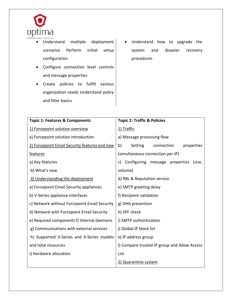

- Understand multiple deployment scenarios Perform initial setup configuration
- Configure connection level controls and message properties
- Create policies to fulfill various organization needs Understand policy and filter basics
- Understand how to upgrade the system and disaster recovery procedures

| <b>Topic 1: Features &amp; Components</b>     | <b>Topic 2: Traffic &amp; Policies</b>       |
|-----------------------------------------------|----------------------------------------------|
| 1) Forcepoint solution overview               | 1) Traffic                                   |
| a) Forcepoint solution introduction           | a) Message processing flow                   |
| 2) Forcepoint Email Security features and new | b)<br>Setting<br>connection<br>properties    |
| features                                      | (simultaneous connection per IP)             |
| a) Key features                               | c) Configuring message properties<br>(size,  |
| b) What's new                                 | volume)                                      |
| 3) Understanding the deployment               | d) RBL & Reputation service                  |
| a) Forcepoint Email Security appliances       | e) SMTP greeting delay                       |
| b) V-Series appliance interfaces              | f) Recipient validation                      |
| c) Network without Forcepoint Email Security  | g) DHA prevention                            |
| d) Network with Forcepoint Email Security     | h) SPF check                                 |
| e) Required components f) Internal daemons    | i) SMTP authentication                       |
| g) Communications with external services      | j) Global IP block list                      |
| h) Supported V-Series and X-Series models     | k) IP address group                          |
| and total resources                           | I) Compare trusted IP group and Allow Access |
| i) Hardware allocation                        | List                                         |
|                                               | 2) Quarantine system                         |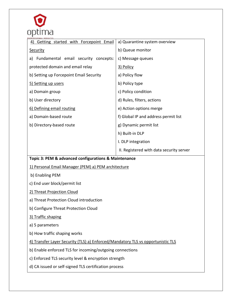

| 4) Getting started with Forcepoint Email             | a) Quarantine system overview            |  |  |  |  |
|------------------------------------------------------|------------------------------------------|--|--|--|--|
| <b>Security</b>                                      | b) Queue monitor                         |  |  |  |  |
| a) Fundamental email security concepts:              | c) Message queues                        |  |  |  |  |
| protected domain and email relay                     | 3) Policy                                |  |  |  |  |
| b) Setting up Forcepoint Email Security              | a) Policy flow                           |  |  |  |  |
| 5) Setting up users                                  | b) Policy type                           |  |  |  |  |
| a) Domain group                                      | c) Policy condition                      |  |  |  |  |
| b) User directory                                    | d) Rules, filters, actions               |  |  |  |  |
| 6) Defining email routing                            | e) Action options merge                  |  |  |  |  |
| a) Domain-based route                                | f) Global IP and address permit list     |  |  |  |  |
| b) Directory-based route                             | g) Dynamic permit list                   |  |  |  |  |
|                                                      | h) Built-in DLP                          |  |  |  |  |
|                                                      | I. DLP integration                       |  |  |  |  |
|                                                      | II. Registered with data security server |  |  |  |  |
| Topic 3: PEM & advanced configurations & Maintenance |                                          |  |  |  |  |

1) Personal Email Manager (PEM) a) PEM architecture

b) Enabling PEM

c) End user block/permit list

- 2) Threat Projection Cloud
- a) Threat Protection Cloud introduction
- b) Configure Threat Protection Cloud

#### 3) Traffic shaping

a) 5 parameters

b) How traffic shaping works

4) Transfer Layer Security (TLS) a) Enforced/Mandatory TLS vs opportunistic TLS

b) Enable enforced TLS for incoming/outgoing connections

c) Enforced TLS security level & encryption strength

d) CA issued or self-signed TLS certification process